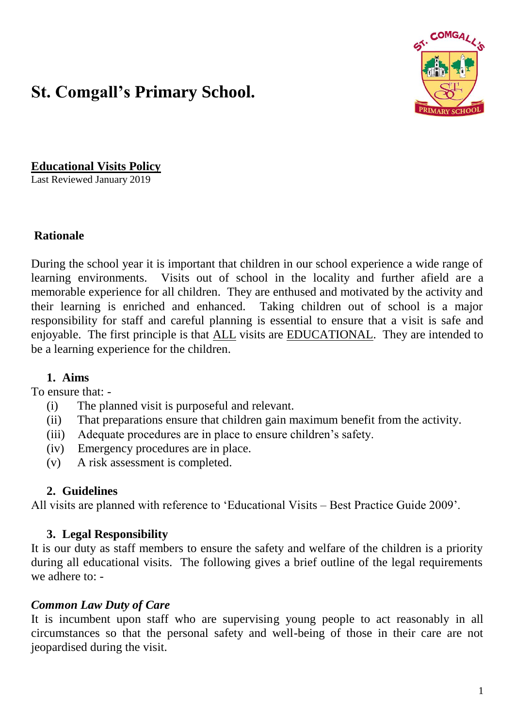# **St. Comgall's Primary School.**



**Educational Visits Policy**

Last Reviewed January 2019

#### **Rationale**

During the school year it is important that children in our school experience a wide range of learning environments. Visits out of school in the locality and further afield are a memorable experience for all children. They are enthused and motivated by the activity and their learning is enriched and enhanced. Taking children out of school is a major responsibility for staff and careful planning is essential to ensure that a visit is safe and enjoyable. The first principle is that ALL visits are EDUCATIONAL. They are intended to be a learning experience for the children.

#### **1. Aims**

To ensure that: -

- (i) The planned visit is purposeful and relevant.
- (ii) That preparations ensure that children gain maximum benefit from the activity.
- (iii) Adequate procedures are in place to ensure children's safety.
- (iv) Emergency procedures are in place.
- (v) A risk assessment is completed.

#### **2. Guidelines**

All visits are planned with reference to 'Educational Visits – Best Practice Guide 2009'.

#### **3. Legal Responsibility**

It is our duty as staff members to ensure the safety and welfare of the children is a priority during all educational visits. The following gives a brief outline of the legal requirements we adhere to: -

#### *Common Law Duty of Care*

It is incumbent upon staff who are supervising young people to act reasonably in all circumstances so that the personal safety and well-being of those in their care are not jeopardised during the visit.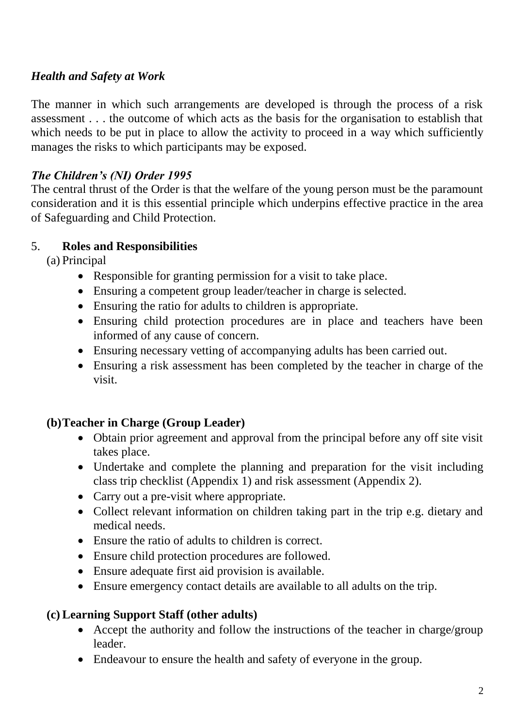## *Health and Safety at Work*

The manner in which such arrangements are developed is through the process of a risk assessment . . . the outcome of which acts as the basis for the organisation to establish that which needs to be put in place to allow the activity to proceed in a way which sufficiently manages the risks to which participants may be exposed.

#### *The Children's (NI) Order 1995*

The central thrust of the Order is that the welfare of the young person must be the paramount consideration and it is this essential principle which underpins effective practice in the area of Safeguarding and Child Protection.

#### 5. **Roles and Responsibilities**

(a) Principal

- Responsible for granting permission for a visit to take place.
- Ensuring a competent group leader/teacher in charge is selected.
- Ensuring the ratio for adults to children is appropriate.
- Ensuring child protection procedures are in place and teachers have been informed of any cause of concern.
- Ensuring necessary vetting of accompanying adults has been carried out.
- Ensuring a risk assessment has been completed by the teacher in charge of the visit.

## **(b)Teacher in Charge (Group Leader)**

- Obtain prior agreement and approval from the principal before any off site visit takes place.
- Undertake and complete the planning and preparation for the visit including class trip checklist (Appendix 1) and risk assessment (Appendix 2).
- Carry out a pre-visit where appropriate.
- Collect relevant information on children taking part in the trip e.g. dietary and medical needs.
- Ensure the ratio of adults to children is correct.
- Ensure child protection procedures are followed.
- Ensure adequate first aid provision is available.
- Ensure emergency contact details are available to all adults on the trip.

## **(c) Learning Support Staff (other adults)**

- Accept the authority and follow the instructions of the teacher in charge/group leader.
- Endeavour to ensure the health and safety of everyone in the group.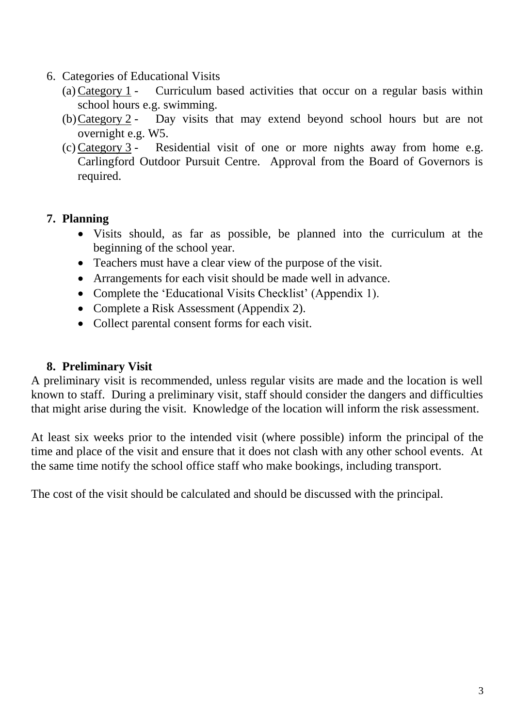- 6. Categories of Educational Visits
	- (a) Category 1 Curriculum based activities that occur on a regular basis within school hours e.g. swimming.
	- (b)Category 2 Day visits that may extend beyond school hours but are not overnight e.g. W5.
	- (c) Category 3 Residential visit of one or more nights away from home e.g. Carlingford Outdoor Pursuit Centre. Approval from the Board of Governors is required.

#### **7. Planning**

- Visits should, as far as possible, be planned into the curriculum at the beginning of the school year.
- Teachers must have a clear view of the purpose of the visit.
- Arrangements for each visit should be made well in advance.
- Complete the 'Educational Visits Checklist' (Appendix 1).
- Complete a Risk Assessment (Appendix 2).
- Collect parental consent forms for each visit.

#### **8. Preliminary Visit**

A preliminary visit is recommended, unless regular visits are made and the location is well known to staff. During a preliminary visit, staff should consider the dangers and difficulties that might arise during the visit. Knowledge of the location will inform the risk assessment.

At least six weeks prior to the intended visit (where possible) inform the principal of the time and place of the visit and ensure that it does not clash with any other school events. At the same time notify the school office staff who make bookings, including transport.

The cost of the visit should be calculated and should be discussed with the principal.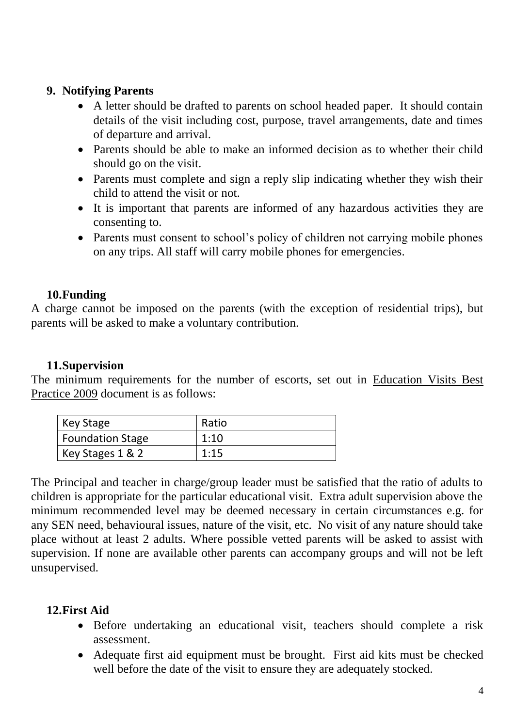#### **9. Notifying Parents**

- A letter should be drafted to parents on school headed paper. It should contain details of the visit including cost, purpose, travel arrangements, date and times of departure and arrival.
- Parents should be able to make an informed decision as to whether their child should go on the visit.
- Parents must complete and sign a reply slip indicating whether they wish their child to attend the visit or not.
- It is important that parents are informed of any hazardous activities they are consenting to.
- Parents must consent to school's policy of children not carrying mobile phones on any trips. All staff will carry mobile phones for emergencies.

## **10.Funding**

A charge cannot be imposed on the parents (with the exception of residential trips), but parents will be asked to make a voluntary contribution.

## **11.Supervision**

The minimum requirements for the number of escorts, set out in Education Visits Best Practice 2009 document is as follows:

| Key Stage               | Ratio |
|-------------------------|-------|
| <b>Foundation Stage</b> | 1:10  |
| Key Stages 1 & 2        | 1:15  |

The Principal and teacher in charge/group leader must be satisfied that the ratio of adults to children is appropriate for the particular educational visit. Extra adult supervision above the minimum recommended level may be deemed necessary in certain circumstances e.g. for any SEN need, behavioural issues, nature of the visit, etc. No visit of any nature should take place without at least 2 adults. Where possible vetted parents will be asked to assist with supervision. If none are available other parents can accompany groups and will not be left unsupervised.

## **12.First Aid**

- Before undertaking an educational visit, teachers should complete a risk assessment.
- Adequate first aid equipment must be brought. First aid kits must be checked well before the date of the visit to ensure they are adequately stocked.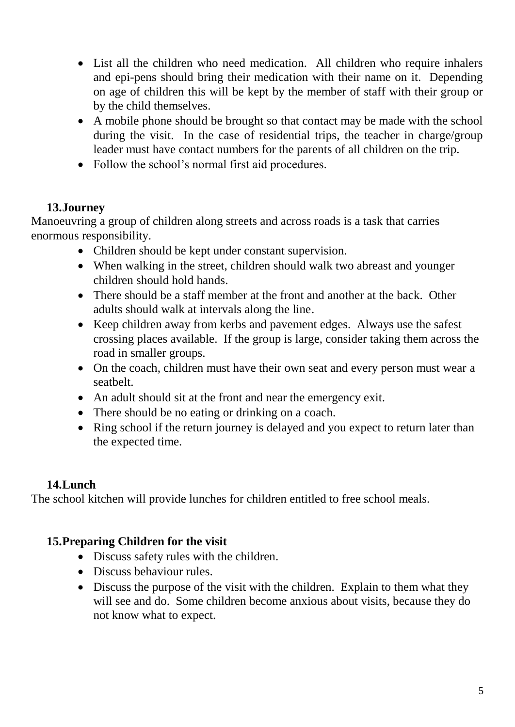- List all the children who need medication. All children who require inhalers and epi-pens should bring their medication with their name on it. Depending on age of children this will be kept by the member of staff with their group or by the child themselves.
- A mobile phone should be brought so that contact may be made with the school during the visit. In the case of residential trips, the teacher in charge/group leader must have contact numbers for the parents of all children on the trip.
- Follow the school's normal first aid procedures.

## **13.Journey**

Manoeuvring a group of children along streets and across roads is a task that carries enormous responsibility.

- Children should be kept under constant supervision.
- When walking in the street, children should walk two abreast and younger children should hold hands.
- There should be a staff member at the front and another at the back. Other adults should walk at intervals along the line.
- Keep children away from kerbs and pavement edges. Always use the safest crossing places available. If the group is large, consider taking them across the road in smaller groups.
- On the coach, children must have their own seat and every person must wear a seatbelt.
- An adult should sit at the front and near the emergency exit.
- There should be no eating or drinking on a coach.
- Ring school if the return journey is delayed and you expect to return later than the expected time.

## **14.Lunch**

The school kitchen will provide lunches for children entitled to free school meals.

## **15.Preparing Children for the visit**

- Discuss safety rules with the children.
- Discuss behaviour rules.
- Discuss the purpose of the visit with the children. Explain to them what they will see and do. Some children become anxious about visits, because they do not know what to expect.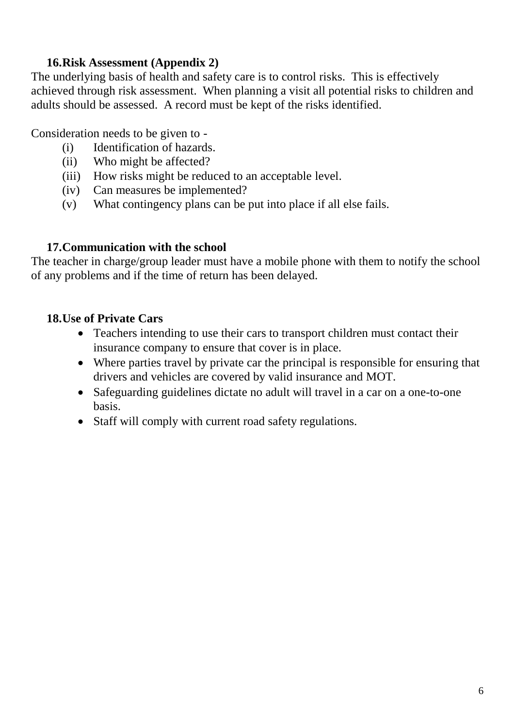## **16.Risk Assessment (Appendix 2)**

The underlying basis of health and safety care is to control risks. This is effectively achieved through risk assessment. When planning a visit all potential risks to children and adults should be assessed. A record must be kept of the risks identified.

Consideration needs to be given to -

- (i) Identification of hazards.
- (ii) Who might be affected?
- (iii) How risks might be reduced to an acceptable level.
- (iv) Can measures be implemented?
- (v) What contingency plans can be put into place if all else fails.

## **17.Communication with the school**

The teacher in charge/group leader must have a mobile phone with them to notify the school of any problems and if the time of return has been delayed.

## **18.Use of Private Cars**

- Teachers intending to use their cars to transport children must contact their insurance company to ensure that cover is in place.
- Where parties travel by private car the principal is responsible for ensuring that drivers and vehicles are covered by valid insurance and MOT.
- Safeguarding guidelines dictate no adult will travel in a car on a one-to-one basis.
- Staff will comply with current road safety regulations.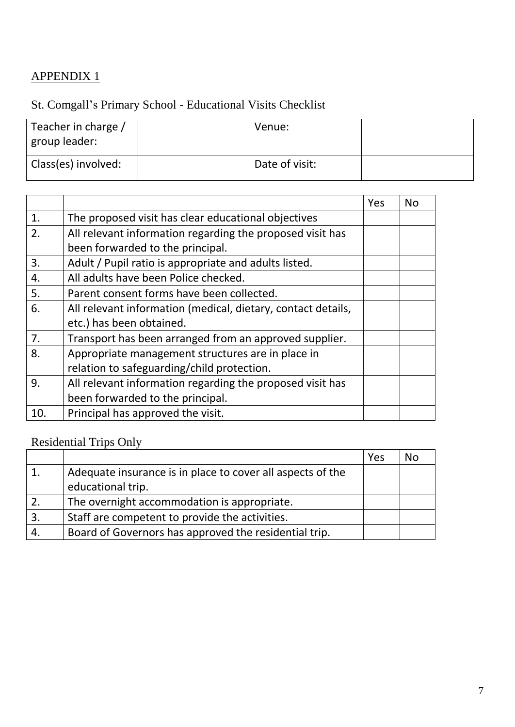## APPENDIX 1

## St. Comgall's Primary School - Educational Visits Checklist

| Teacher in charge /<br>  group leader: | Venue:         |  |
|----------------------------------------|----------------|--|
| Class(es) involved:                    | Date of visit: |  |

|     |                                                              | Yes | <b>No</b> |
|-----|--------------------------------------------------------------|-----|-----------|
| 1.  | The proposed visit has clear educational objectives          |     |           |
| 2.  | All relevant information regarding the proposed visit has    |     |           |
|     | been forwarded to the principal.                             |     |           |
| 3.  | Adult / Pupil ratio is appropriate and adults listed.        |     |           |
| 4.  | All adults have been Police checked.                         |     |           |
| 5.  | Parent consent forms have been collected.                    |     |           |
| 6.  | All relevant information (medical, dietary, contact details, |     |           |
|     | etc.) has been obtained.                                     |     |           |
| 7.  | Transport has been arranged from an approved supplier.       |     |           |
| 8.  | Appropriate management structures are in place in            |     |           |
|     | relation to safeguarding/child protection.                   |     |           |
| 9.  | All relevant information regarding the proposed visit has    |     |           |
|     | been forwarded to the principal.                             |     |           |
| 10. | Principal has approved the visit.                            |     |           |

# Residential Trips Only

|              |                                                            | Yes | No |
|--------------|------------------------------------------------------------|-----|----|
|              | Adequate insurance is in place to cover all aspects of the |     |    |
|              | educational trip.                                          |     |    |
|              | The overnight accommodation is appropriate.                |     |    |
| $\mathbf{3}$ | Staff are competent to provide the activities.             |     |    |
|              | Board of Governors has approved the residential trip.      |     |    |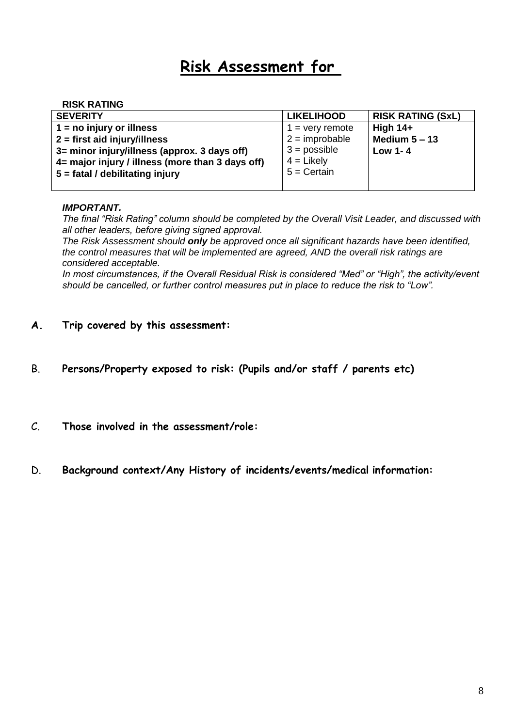# **Risk Assessment for**

#### **RISK RATING**

| <b>SEVERITY</b>                                  | <b>LIKELIHOOD</b> | <b>RISK RATING (SxL)</b> |
|--------------------------------------------------|-------------------|--------------------------|
| $1 = no$ injury or illness                       | $1 =$ very remote | <b>High 14+</b>          |
| $2 =$ first aid injury/illness                   | $2 =$ improbable  | Medium $5 - 13$          |
| 3= minor injury/illness (approx. 3 days off)     | $3 =$ possible    | Low 1-4                  |
| 4= major injury / illness (more than 3 days off) | $4 =$ Likely      |                          |
| 5 = fatal / debilitating injury                  | $5 =$ Certain     |                          |
|                                                  |                   |                          |

#### *IMPORTANT.*

*The final "Risk Rating" column should be completed by the Overall Visit Leader, and discussed with all other leaders, before giving signed approval.*

*The Risk Assessment should only be approved once all significant hazards have been identified, the control measures that will be implemented are agreed, AND the overall risk ratings are considered acceptable.*

*In most circumstances, if the Overall Residual Risk is considered "Med" or "High", the activity/event should be cancelled, or further control measures put in place to reduce the risk to "Low".*

#### **A. Trip covered by this assessment:**

- B. **Persons/Property exposed to risk: (Pupils and/or staff / parents etc)**
- C. **Those involved in the assessment/role:**
- D. **Background context/Any History of incidents/events/medical information:**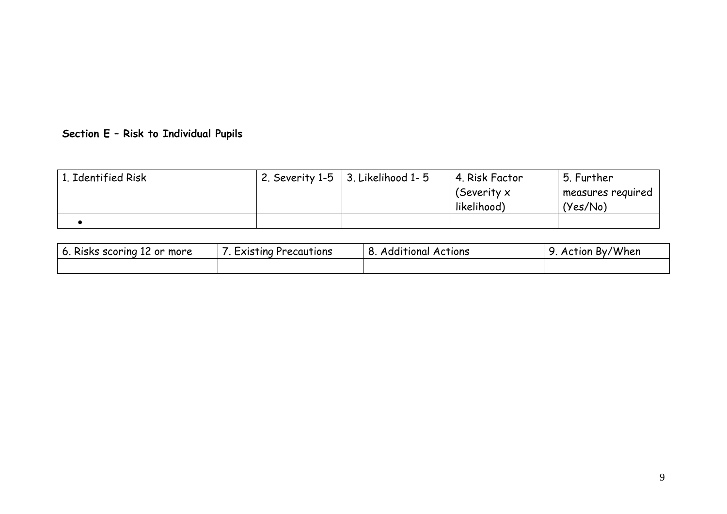## **Section E – Risk to Individual Pupils**

| 1. Identified Risk | 2. Severity 1-5 $\vert$ 3. Likelihood 1-5 | 4. Risk Factor<br>(Severity x<br>likelihood) | . 5. Further<br>measures required<br>'Yes/No) |
|--------------------|-------------------------------------------|----------------------------------------------|-----------------------------------------------|
|                    |                                           |                                              |                                               |

| $6.$<br>. Risks scoring 12 or more | Existing Precautions | .<br>Additional Actions<br>о., | By/When<br>Action |
|------------------------------------|----------------------|--------------------------------|-------------------|
|                                    |                      |                                |                   |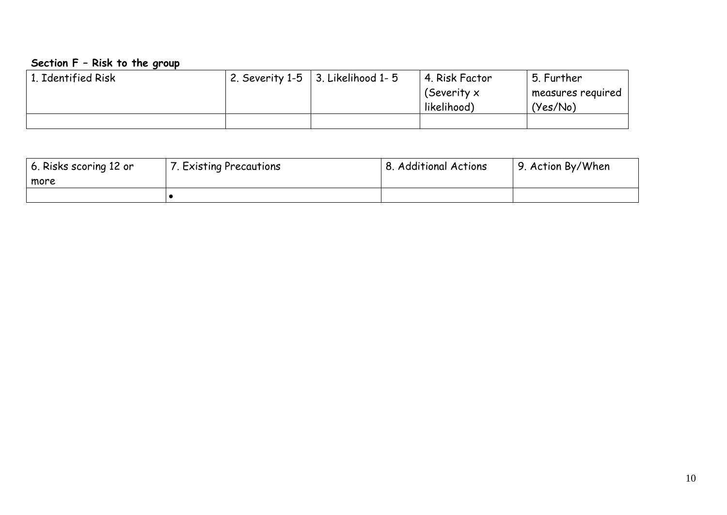#### **Section F – Risk to the group**

| 1. Identified Risk | 2. Severity 1-5 $\vert$ 3. Likelihood 1-5 | 4. Risk Factor<br>(Severity $x$<br>likelihood) | 5. Further<br>measures required<br>(Yes/No) |
|--------------------|-------------------------------------------|------------------------------------------------|---------------------------------------------|
|                    |                                           |                                                |                                             |

| 6. Risks scoring 12 or | 7. Existing Precautions | <b>8. Additional Actions</b> | 9. Action By/When |
|------------------------|-------------------------|------------------------------|-------------------|
| more                   |                         |                              |                   |
|                        |                         |                              |                   |